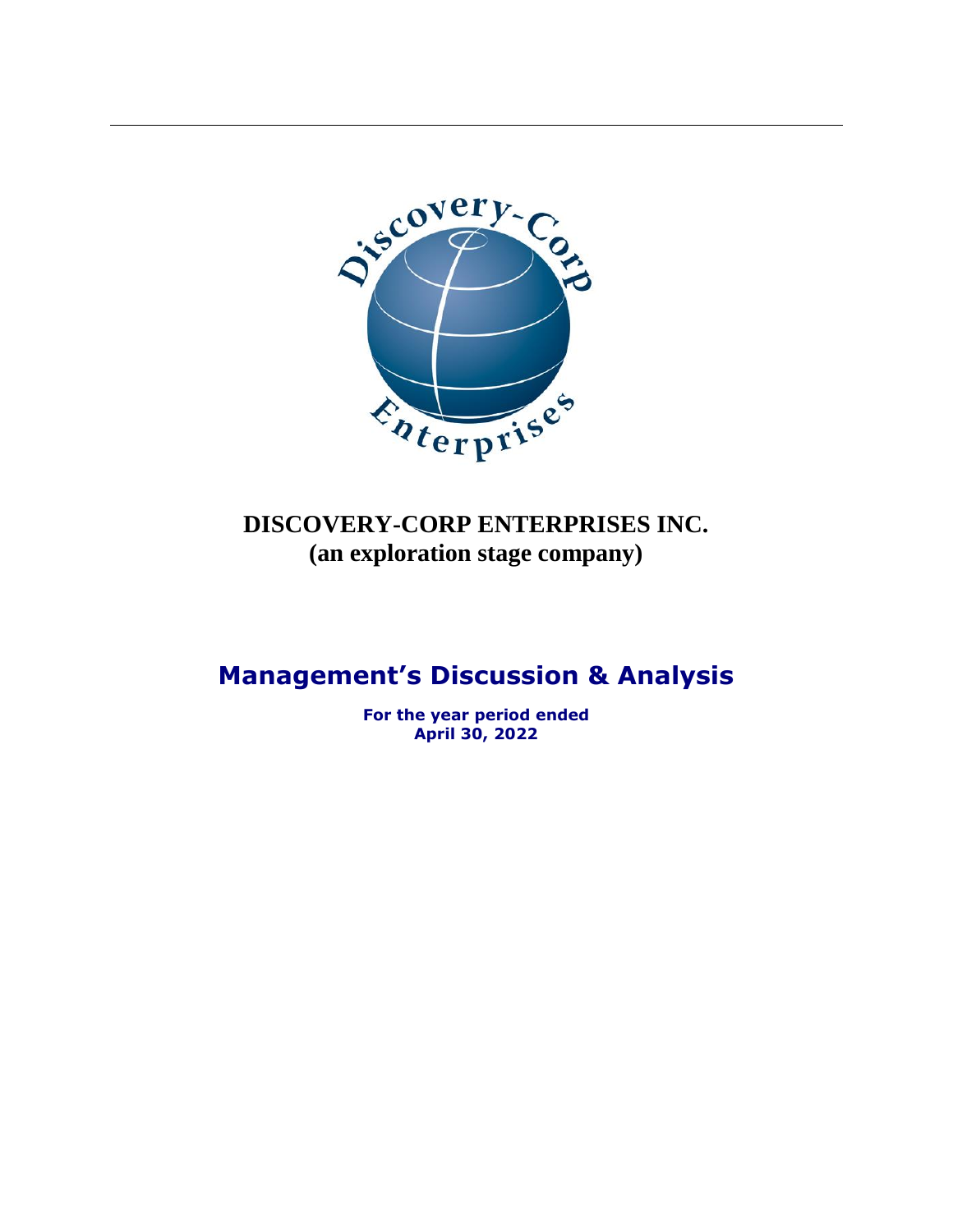

# **DISCOVERY-CORP ENTERPRISES INC. (an exploration stage company)**

# **Management's Discussion & Analysis**

**For the year period ended April 30, 2022**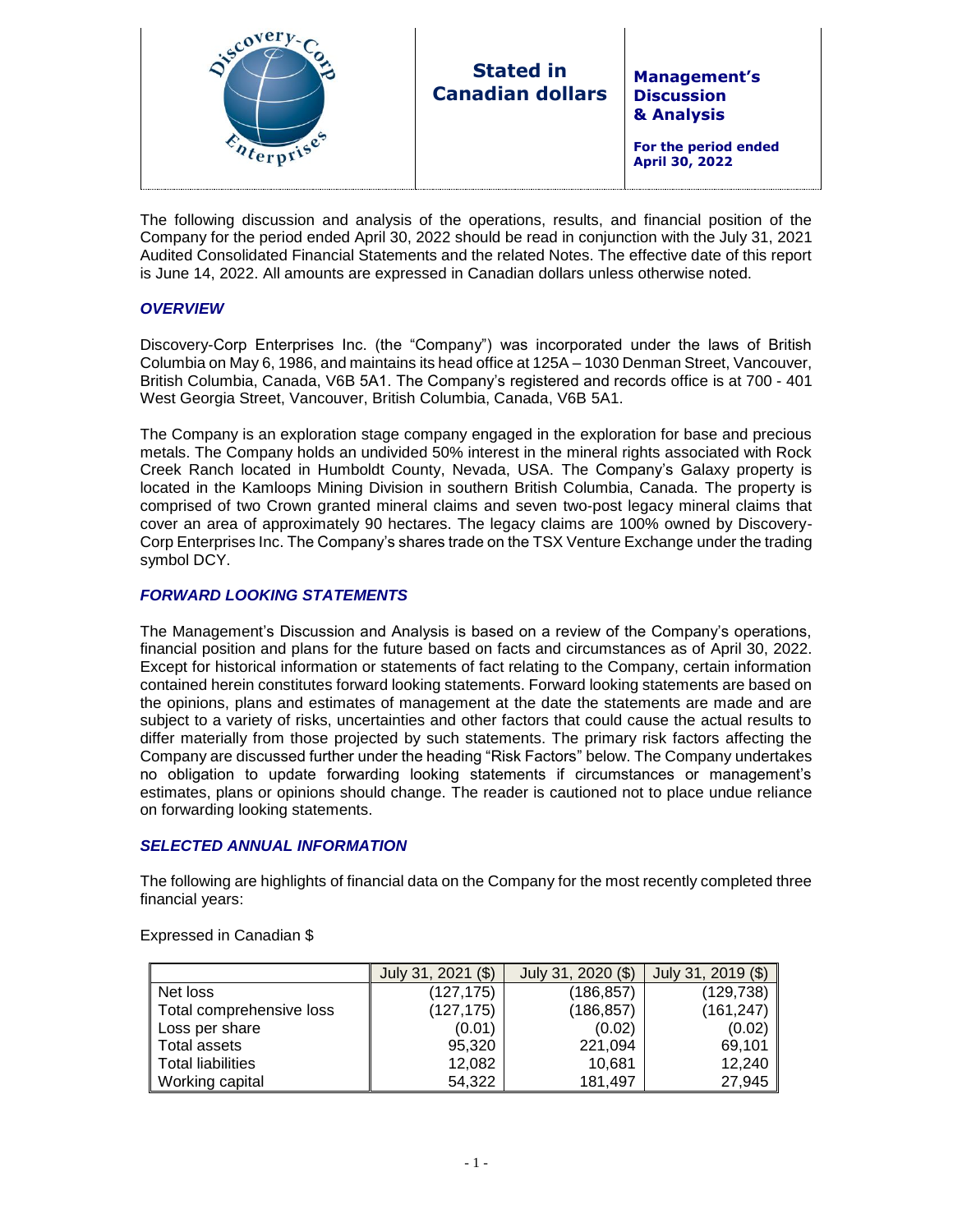| i <sup>6</sup><br><b>Stated in</b><br><b>Management's</b><br><b>Canadian dollars</b><br><b>Discussion</b><br>& Analysis<br>For the period ended<br>April 30, 2022 |
|-------------------------------------------------------------------------------------------------------------------------------------------------------------------|
|-------------------------------------------------------------------------------------------------------------------------------------------------------------------|

The following discussion and analysis of the operations, results, and financial position of the Company for the period ended April 30, 2022 should be read in conjunction with the July 31, 2021 Audited Consolidated Financial Statements and the related Notes. The effective date of this report is June 14, 2022. All amounts are expressed in Canadian dollars unless otherwise noted.

# *OVERVIEW*

Discovery-Corp Enterprises Inc. (the "Company") was incorporated under the laws of British Columbia on May 6, 1986, and maintains its head office at 125A – 1030 Denman Street, Vancouver, British Columbia, Canada, V6B 5A1. The Company's registered and records office is at 700 - 401 West Georgia Street, Vancouver, British Columbia, Canada, V6B 5A1.

The Company is an exploration stage company engaged in the exploration for base and precious metals. The Company holds an undivided 50% interest in the mineral rights associated with Rock Creek Ranch located in Humboldt County, Nevada, USA. The Company's Galaxy property is located in the Kamloops Mining Division in southern British Columbia, Canada. The property is comprised of two Crown granted mineral claims and seven two-post legacy mineral claims that cover an area of approximately 90 hectares. The legacy claims are 100% owned by Discovery-Corp Enterprises Inc. The Company's shares trade on the TSX Venture Exchange under the trading symbol DCY.

# *FORWARD LOOKING STATEMENTS*

The Management's Discussion and Analysis is based on a review of the Company's operations, financial position and plans for the future based on facts and circumstances as of April 30, 2022. Except for historical information or statements of fact relating to the Company, certain information contained herein constitutes forward looking statements. Forward looking statements are based on the opinions, plans and estimates of management at the date the statements are made and are subject to a variety of risks, uncertainties and other factors that could cause the actual results to differ materially from those projected by such statements. The primary risk factors affecting the Company are discussed further under the heading "Risk Factors" below. The Company undertakes no obligation to update forwarding looking statements if circumstances or management's estimates, plans or opinions should change. The reader is cautioned not to place undue reliance on forwarding looking statements.

# *SELECTED ANNUAL INFORMATION*

The following are highlights of financial data on the Company for the most recently completed three financial years:

|                          | July 31, 2021 (\$) | July 31, 2020 (\$) | July 31, 2019 (\$) |
|--------------------------|--------------------|--------------------|--------------------|
| Net loss                 | (127, 175)         | (186,857)          | (129, 738)         |
| Total comprehensive loss | (127, 175)         | (186,857)          | (161, 247)         |
| Loss per share           | (0.01)             | (0.02)             | (0.02)             |
| ∥ Total assets           | 95,320             | 221,094            | 69,101             |
| <b>Total liabilities</b> | 12,082             | 10,681             | 12,240             |
| Working capital          | 54,322             | 181.497            | 27,945             |

#### Expressed in Canadian \$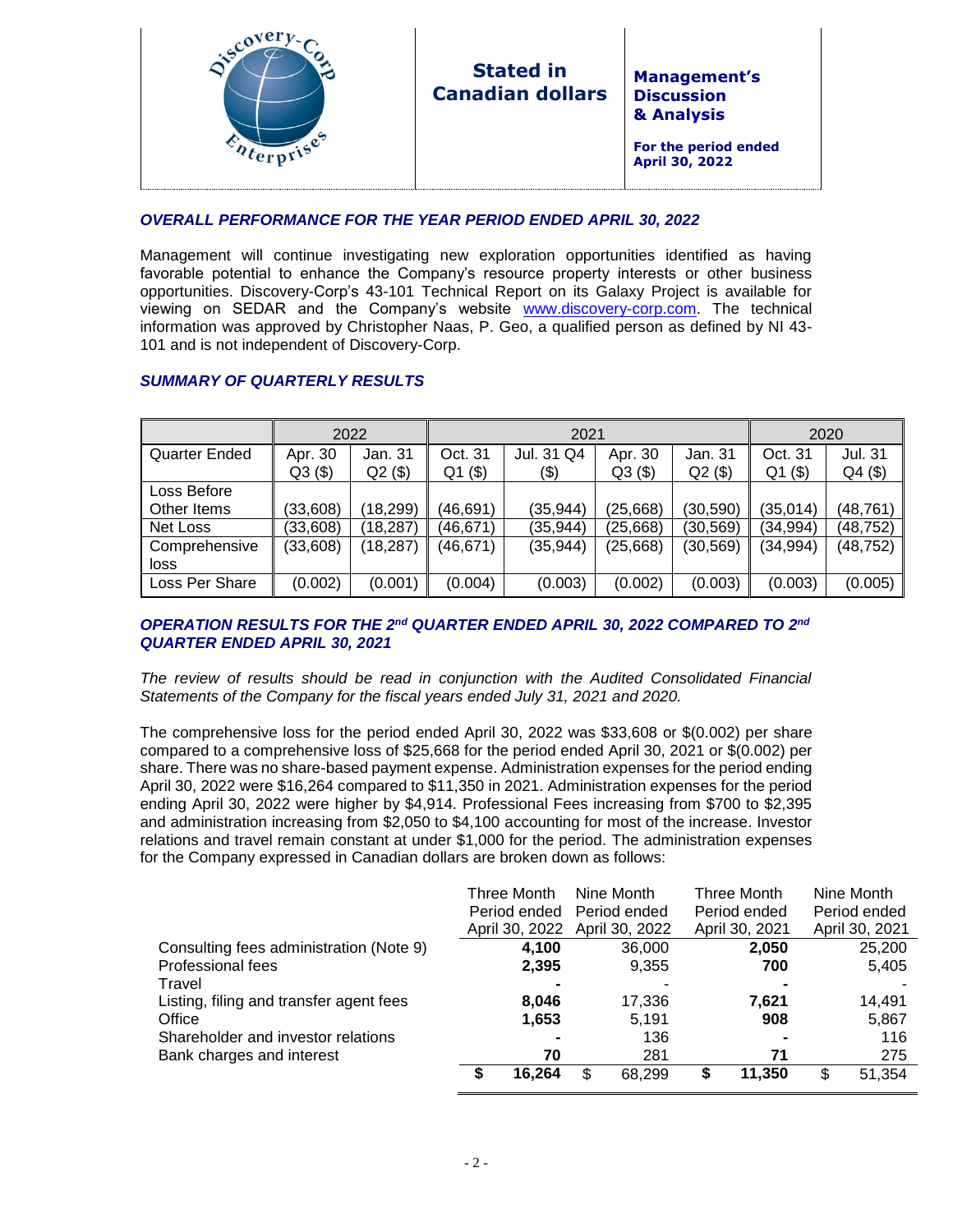| <b>Stated in</b><br><b>Management's</b><br><b>Canadian dollars</b><br><b>Discussion</b><br>& Analysis<br>For the period ended<br><b>April 30, 2022</b> |
|--------------------------------------------------------------------------------------------------------------------------------------------------------|
|--------------------------------------------------------------------------------------------------------------------------------------------------------|

# *OVERALL PERFORMANCE FOR THE YEAR PERIOD ENDED APRIL 30, 2022*

Management will continue investigating new exploration opportunities identified as having favorable potential to enhance the Company's resource property interests or other business opportunities. Discovery-Corp's 43-101 Technical Report on its Galaxy Project is available for viewing on SEDAR and the Company's website [www.discovery-corp.com.](http://www.discovery-corp.com/) The technical information was approved by Christopher Naas, P. Geo, a qualified person as defined by NI 43- 101 and is not independent of Discovery-Corp.

# *SUMMARY OF QUARTERLY RESULTS*

|                |           | 2022      | 2021      |            |           |           | 2020      |          |  |
|----------------|-----------|-----------|-----------|------------|-----------|-----------|-----------|----------|--|
| Quarter Ended  | Apr. 30   | Jan. 31   | Oct. 31   | Jul. 31 Q4 | Apr. 30   | Jan. 31   | Oct. 31   | Jul. 31  |  |
|                | Q3(\$)    | $Q2($ \$) | $Q1($ \$) | (\$)       | $Q3($ \$) | $Q2($ \$) | $Q1($ \$) | Q4(\$)   |  |
| Loss Before    |           |           |           |            |           |           |           |          |  |
| Other Items    | (33,608)  | (18, 299) | (46, 691) | (35,944)   | (25,668)  | (30, 590) | (35, 014) | (48,761) |  |
| Net Loss       | (33,608)  | (18, 287) | (46,671)  | (35, 944)  | (25,668)  | (30,569)  | (34, 994) | (48,752) |  |
| Comprehensive  | (33, 608) | (18, 287) | (46, 671) | (35, 944)  | (25,668)  | (30, 569) | (34, 994) | (48,752) |  |
| loss           |           |           |           |            |           |           |           |          |  |
| Loss Per Share | (0.002)   | (0.001)   | (0.004)   | (0.003)    | (0.002)   | (0.003)   | (0.003)   | (0.005)  |  |

# *OPERATION RESULTS FOR THE 2 nd QUARTER ENDED APRIL 30, 2022 COMPARED TO 2 nd QUARTER ENDED APRIL 30, 2021*

*The review of results should be read in conjunction with the Audited Consolidated Financial Statements of the Company for the fiscal years ended July 31, 2021 and 2020.*

The comprehensive loss for the period ended April 30, 2022 was \$33,608 or \$(0.002) per share compared to a comprehensive loss of \$25,668 for the period ended April 30, 2021 or \$(0.002) per share. There was no share-based payment expense. Administration expenses for the period ending April 30, 2022 were \$16,264 compared to \$11,350 in 2021. Administration expenses for the period ending April 30, 2022 were higher by \$4,914. Professional Fees increasing from \$700 to \$2,395 and administration increasing from \$2,050 to \$4,100 accounting for most of the increase. Investor relations and travel remain constant at under \$1,000 for the period. The administration expenses for the Company expressed in Canadian dollars are broken down as follows:

|                                         | Three Month    | Nine Month     |   | Three Month    |   | Nine Month     |
|-----------------------------------------|----------------|----------------|---|----------------|---|----------------|
|                                         | Period ended   | Period ended   |   | Period ended   |   | Period ended   |
|                                         | April 30, 2022 | April 30, 2022 |   | April 30, 2021 |   | April 30, 2021 |
| Consulting fees administration (Note 9) | 4,100          | 36,000         |   | 2,050          |   | 25,200         |
| Professional fees                       | 2,395          | 9,355          |   | 700            |   | 5,405          |
| Travel                                  |                |                |   |                |   |                |
| Listing, filing and transfer agent fees | 8,046          | 17,336         |   | 7.621          |   | 14,491         |
| Office                                  | 1,653          | 5,191          |   | 908            |   | 5,867          |
| Shareholder and investor relations      |                | 136            |   |                |   | 116            |
| Bank charges and interest               | 70             | 281            |   | 71             |   | 275            |
|                                         | 16,264         | \$<br>68,299   | S | 11.350         | S | 51,354         |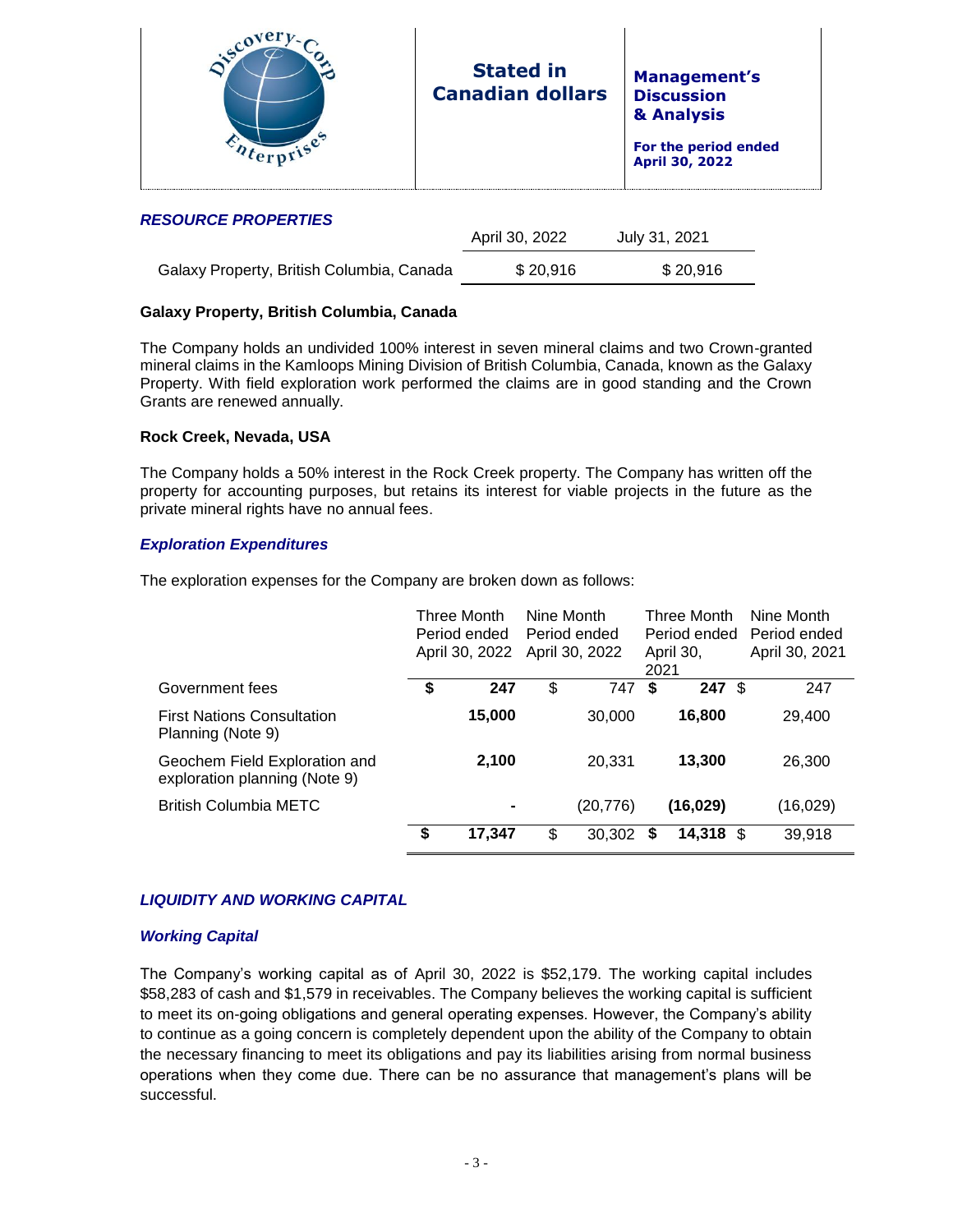| <b>Stated in</b><br><b>Canadian dollars</b> | <b>Management's</b><br><b>Discussion</b><br>& Analysis<br>For the period ended<br>April 30, 2022 |
|---------------------------------------------|--------------------------------------------------------------------------------------------------|
|                                             |                                                                                                  |

## *RESOURCE PROPERTIES*

|                                           | April 30, 2022 | July 31, 2021 |  |
|-------------------------------------------|----------------|---------------|--|
| Galaxy Property, British Columbia, Canada | \$20.916       | \$20.916      |  |

# **Galaxy Property, British Columbia, Canada**

The Company holds an undivided 100% interest in seven mineral claims and two Crown-granted mineral claims in the Kamloops Mining Division of British Columbia, Canada, known as the Galaxy Property. With field exploration work performed the claims are in good standing and the Crown Grants are renewed annually.

# **Rock Creek, Nevada, USA**

The Company holds a 50% interest in the Rock Creek property. The Company has written off the property for accounting purposes, but retains its interest for viable projects in the future as the private mineral rights have no annual fees.

## *Exploration Expenditures*

The exploration expenses for the Company are broken down as follows:

|                                                                | Three Month<br>Period ended<br>April 30, 2022 | Nine Month | Period ended<br>April 30, 2022 | 2021 | <b>Three Month</b><br>Period ended<br>April 30, | Nine Month<br>Period ended<br>April 30, 2021 |
|----------------------------------------------------------------|-----------------------------------------------|------------|--------------------------------|------|-------------------------------------------------|----------------------------------------------|
| Government fees                                                | \$<br>247                                     | \$         | 747                            | S    | $247 \text{ }$ \$                               | 247                                          |
| <b>First Nations Consultation</b><br>Planning (Note 9)         | 15,000                                        |            | 30,000                         |      | 16,800                                          | 29,400                                       |
| Geochem Field Exploration and<br>exploration planning (Note 9) | 2,100                                         |            | 20,331                         |      | 13,300                                          | 26,300                                       |
| <b>British Columbia METC</b>                                   | $\blacksquare$                                |            | (20,776)                       |      | (16,029)                                        | (16, 029)                                    |
|                                                                | \$<br>17,347                                  | \$         | 30.302                         | S    | 14.318 \$                                       | 39,918                                       |

# *LIQUIDITY AND WORKING CAPITAL*

#### *Working Capital*

The Company's working capital as of April 30, 2022 is \$52,179. The working capital includes \$58,283 of cash and \$1,579 in receivables. The Company believes the working capital is sufficient to meet its on-going obligations and general operating expenses. However, the Company's ability to continue as a going concern is completely dependent upon the ability of the Company to obtain the necessary financing to meet its obligations and pay its liabilities arising from normal business operations when they come due. There can be no assurance that management's plans will be successful.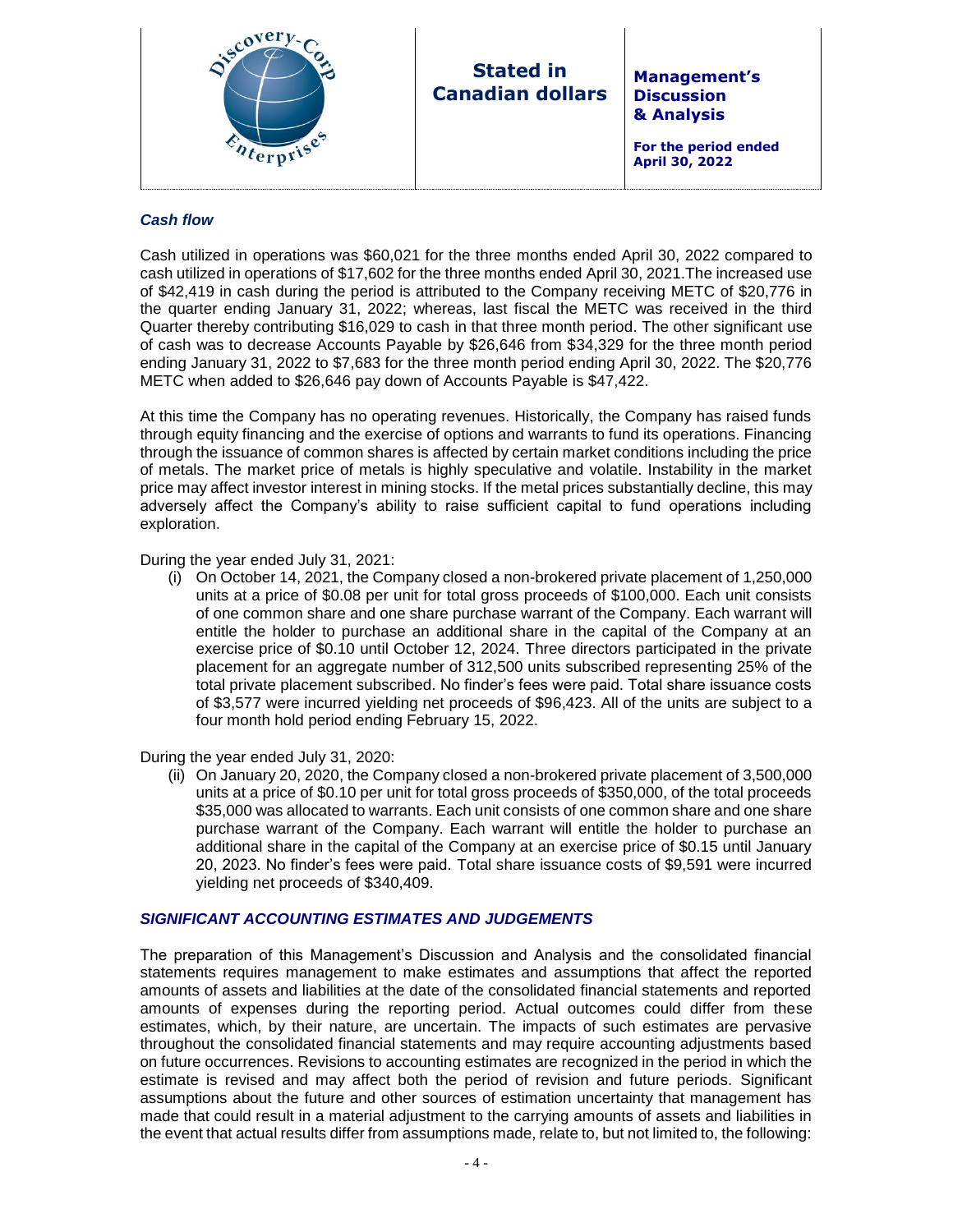

# **Stated in Canadian dollars**

**Management's Discussion & Analysis**

**For the period ended April 30, 2022**

#### *Cash flow*

Cash utilized in operations was \$60,021 for the three months ended April 30, 2022 compared to cash utilized in operations of \$17,602 for the three months ended April 30, 2021.The increased use of \$42,419 in cash during the period is attributed to the Company receiving METC of \$20,776 in the quarter ending January 31, 2022; whereas, last fiscal the METC was received in the third Quarter thereby contributing \$16,029 to cash in that three month period. The other significant use of cash was to decrease Accounts Payable by \$26,646 from \$34,329 for the three month period ending January 31, 2022 to \$7,683 for the three month period ending April 30, 2022. The \$20,776 METC when added to \$26,646 pay down of Accounts Payable is \$47,422.

At this time the Company has no operating revenues. Historically, the Company has raised funds through equity financing and the exercise of options and warrants to fund its operations. Financing through the issuance of common shares is affected by certain market conditions including the price of metals. The market price of metals is highly speculative and volatile. Instability in the market price may affect investor interest in mining stocks. If the metal prices substantially decline, this may adversely affect the Company's ability to raise sufficient capital to fund operations including exploration.

During the year ended July 31, 2021:

(i) On October 14, 2021, the Company closed a non-brokered private placement of 1,250,000 units at a price of \$0.08 per unit for total gross proceeds of \$100,000. Each unit consists of one common share and one share purchase warrant of the Company. Each warrant will entitle the holder to purchase an additional share in the capital of the Company at an exercise price of \$0.10 until October 12, 2024. Three directors participated in the private placement for an aggregate number of 312,500 units subscribed representing 25% of the total private placement subscribed. No finder's fees were paid. Total share issuance costs of \$3,577 were incurred yielding net proceeds of \$96,423. All of the units are subject to a four month hold period ending February 15, 2022.

During the year ended July 31, 2020:

(ii) On January 20, 2020, the Company closed a non-brokered private placement of 3,500,000 units at a price of \$0.10 per unit for total gross proceeds of \$350,000, of the total proceeds \$35,000 was allocated to warrants. Each unit consists of one common share and one share purchase warrant of the Company. Each warrant will entitle the holder to purchase an additional share in the capital of the Company at an exercise price of \$0.15 until January 20, 2023. No finder's fees were paid. Total share issuance costs of \$9,591 were incurred yielding net proceeds of \$340,409.

#### *SIGNIFICANT ACCOUNTING ESTIMATES AND JUDGEMENTS*

The preparation of this Management's Discussion and Analysis and the consolidated financial statements requires management to make estimates and assumptions that affect the reported amounts of assets and liabilities at the date of the consolidated financial statements and reported amounts of expenses during the reporting period. Actual outcomes could differ from these estimates, which, by their nature, are uncertain. The impacts of such estimates are pervasive throughout the consolidated financial statements and may require accounting adjustments based on future occurrences. Revisions to accounting estimates are recognized in the period in which the estimate is revised and may affect both the period of revision and future periods. Significant assumptions about the future and other sources of estimation uncertainty that management has made that could result in a material adjustment to the carrying amounts of assets and liabilities in the event that actual results differ from assumptions made, relate to, but not limited to, the following: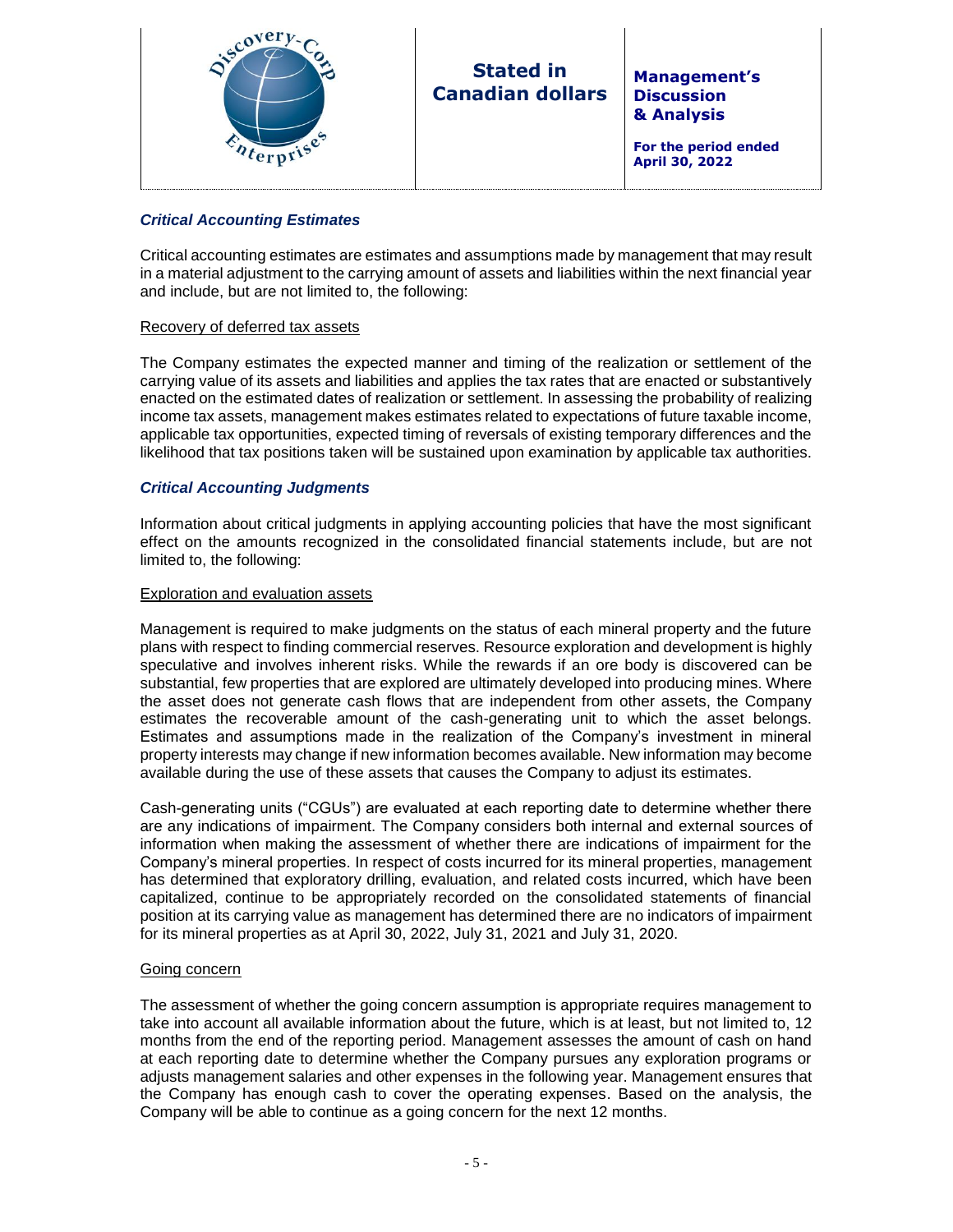

# **Stated in Canadian dollars**

**Management's Discussion & Analysis**

**For the period ended April 30, 2022**

## *Critical Accounting Estimates*

Critical accounting estimates are estimates and assumptions made by management that may result in a material adjustment to the carrying amount of assets and liabilities within the next financial year and include, but are not limited to, the following:

#### Recovery of deferred tax assets

The Company estimates the expected manner and timing of the realization or settlement of the carrying value of its assets and liabilities and applies the tax rates that are enacted or substantively enacted on the estimated dates of realization or settlement. In assessing the probability of realizing income tax assets, management makes estimates related to expectations of future taxable income, applicable tax opportunities, expected timing of reversals of existing temporary differences and the likelihood that tax positions taken will be sustained upon examination by applicable tax authorities.

## *Critical Accounting Judgments*

Information about critical judgments in applying accounting policies that have the most significant effect on the amounts recognized in the consolidated financial statements include, but are not limited to, the following:

#### Exploration and evaluation assets

Management is required to make judgments on the status of each mineral property and the future plans with respect to finding commercial reserves. Resource exploration and development is highly speculative and involves inherent risks. While the rewards if an ore body is discovered can be substantial, few properties that are explored are ultimately developed into producing mines. Where the asset does not generate cash flows that are independent from other assets, the Company estimates the recoverable amount of the cash-generating unit to which the asset belongs. Estimates and assumptions made in the realization of the Company's investment in mineral property interests may change if new information becomes available. New information may become available during the use of these assets that causes the Company to adjust its estimates.

Cash-generating units ("CGUs") are evaluated at each reporting date to determine whether there are any indications of impairment. The Company considers both internal and external sources of information when making the assessment of whether there are indications of impairment for the Company's mineral properties. In respect of costs incurred for its mineral properties, management has determined that exploratory drilling, evaluation, and related costs incurred, which have been capitalized, continue to be appropriately recorded on the consolidated statements of financial position at its carrying value as management has determined there are no indicators of impairment for its mineral properties as at April 30, 2022, July 31, 2021 and July 31, 2020.

#### Going concern

The assessment of whether the going concern assumption is appropriate requires management to take into account all available information about the future, which is at least, but not limited to, 12 months from the end of the reporting period. Management assesses the amount of cash on hand at each reporting date to determine whether the Company pursues any exploration programs or adjusts management salaries and other expenses in the following year. Management ensures that the Company has enough cash to cover the operating expenses. Based on the analysis, the Company will be able to continue as a going concern for the next 12 months.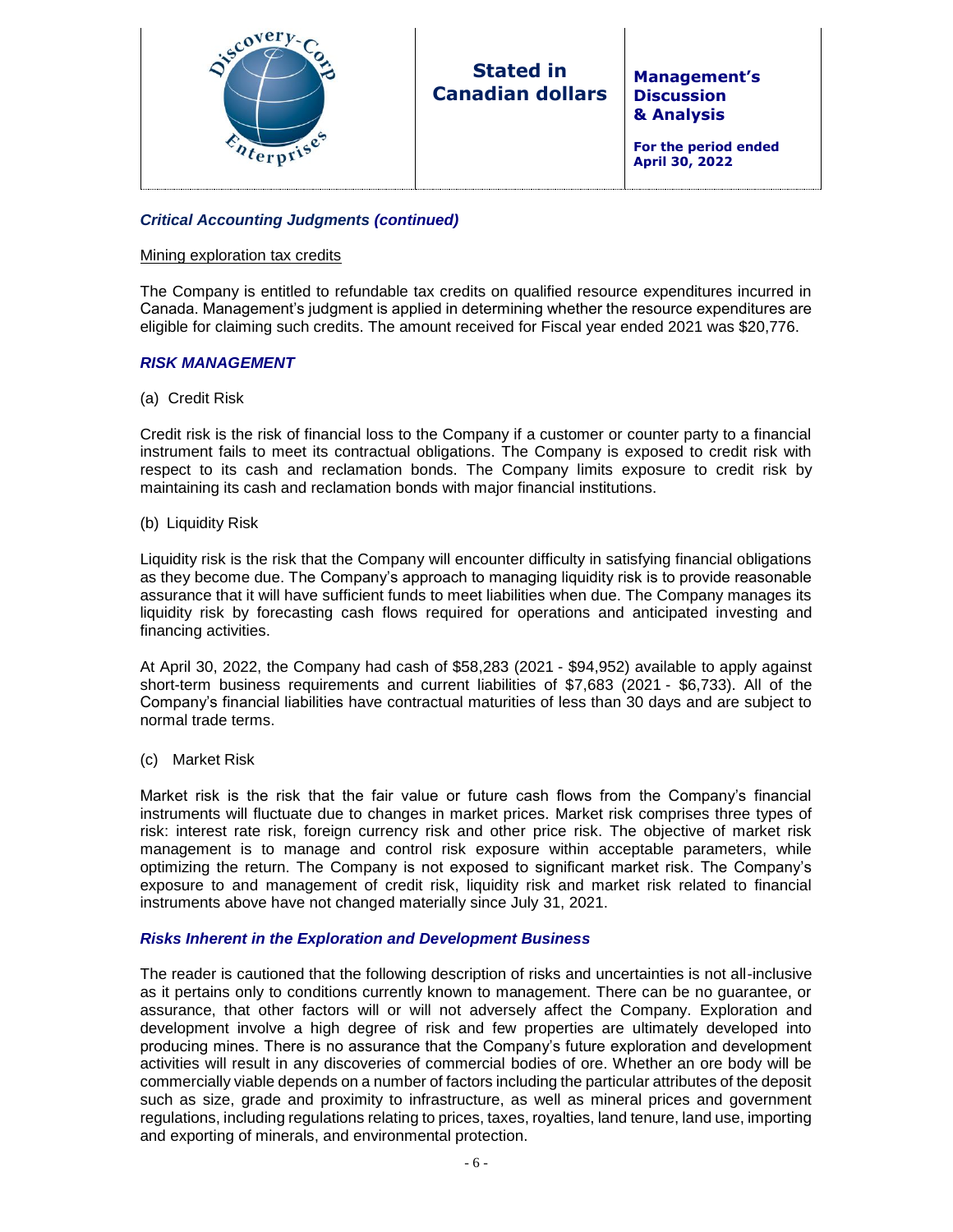

# **Stated in Canadian dollars**

**Management's Discussion & Analysis**

**For the period ended April 30, 2022**

# *Critical Accounting Judgments (continued)*

#### Mining exploration tax credits

The Company is entitled to refundable tax credits on qualified resource expenditures incurred in Canada. Management's judgment is applied in determining whether the resource expenditures are eligible for claiming such credits. The amount received for Fiscal year ended 2021 was \$20,776.

#### *RISK MANAGEMENT*

(a) Credit Risk

Credit risk is the risk of financial loss to the Company if a customer or counter party to a financial instrument fails to meet its contractual obligations. The Company is exposed to credit risk with respect to its cash and reclamation bonds. The Company limits exposure to credit risk by maintaining its cash and reclamation bonds with major financial institutions.

(b) Liquidity Risk

Liquidity risk is the risk that the Company will encounter difficulty in satisfying financial obligations as they become due. The Company's approach to managing liquidity risk is to provide reasonable assurance that it will have sufficient funds to meet liabilities when due. The Company manages its liquidity risk by forecasting cash flows required for operations and anticipated investing and financing activities.

At April 30, 2022, the Company had cash of \$58,283 (2021 - \$94,952) available to apply against short-term business requirements and current liabilities of \$7,683 (2021 - \$6,733). All of the Company's financial liabilities have contractual maturities of less than 30 days and are subject to normal trade terms.

(c) Market Risk

Market risk is the risk that the fair value or future cash flows from the Company's financial instruments will fluctuate due to changes in market prices. Market risk comprises three types of risk: interest rate risk, foreign currency risk and other price risk. The objective of market risk management is to manage and control risk exposure within acceptable parameters, while optimizing the return. The Company is not exposed to significant market risk. The Company's exposure to and management of credit risk, liquidity risk and market risk related to financial instruments above have not changed materially since July 31, 2021.

#### *Risks Inherent in the Exploration and Development Business*

The reader is cautioned that the following description of risks and uncertainties is not all-inclusive as it pertains only to conditions currently known to management. There can be no guarantee, or assurance, that other factors will or will not adversely affect the Company. Exploration and development involve a high degree of risk and few properties are ultimately developed into producing mines. There is no assurance that the Company's future exploration and development activities will result in any discoveries of commercial bodies of ore. Whether an ore body will be commercially viable depends on a number of factors including the particular attributes of the deposit such as size, grade and proximity to infrastructure, as well as mineral prices and government regulations, including regulations relating to prices, taxes, royalties, land tenure, land use, importing and exporting of minerals, and environmental protection.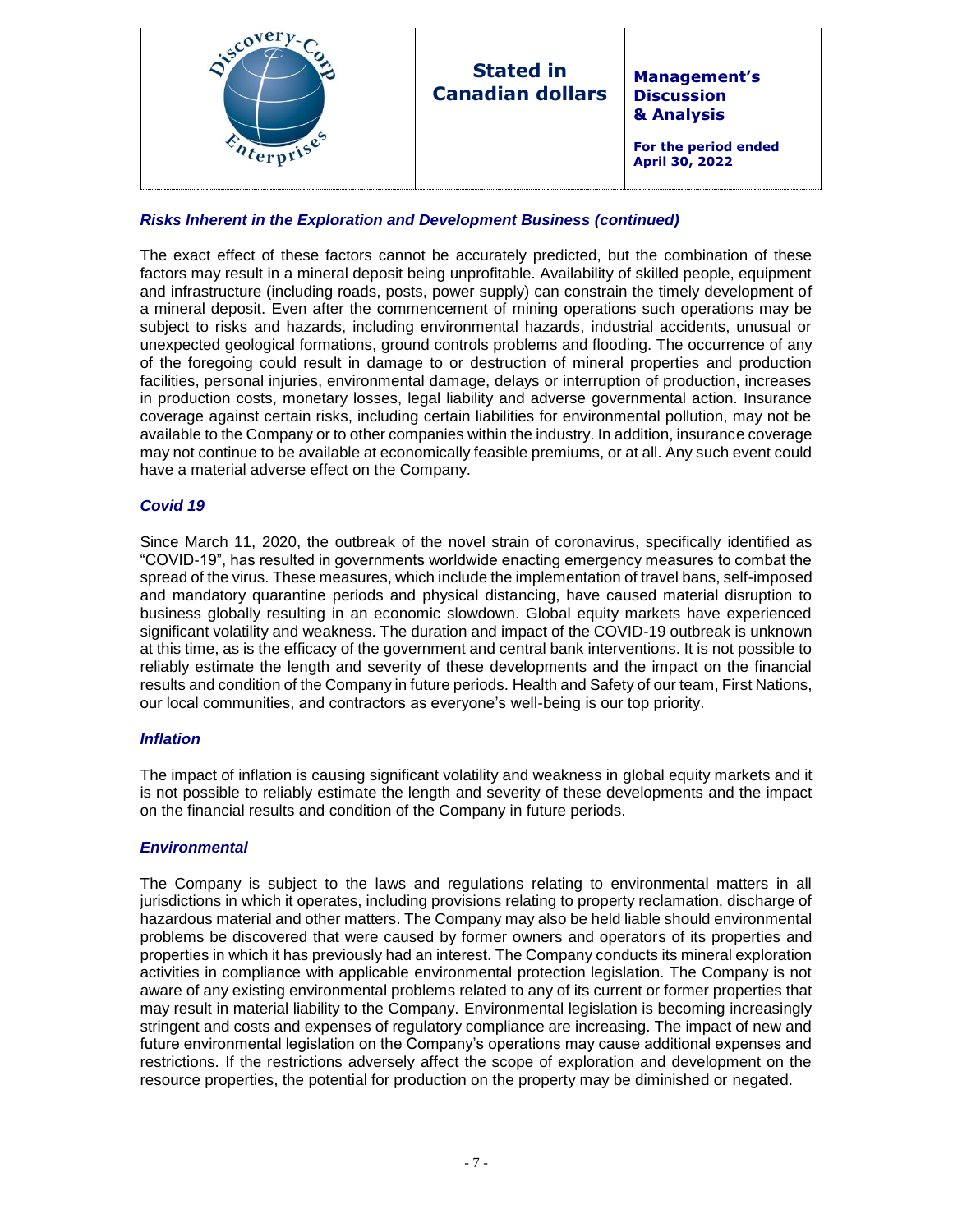| & Analysis<br>For the period ended<br>April 30, 2022 | iscov' | <b>Stated in</b><br><b>Canadian dollars</b> | <b>Management's</b><br><b>Discussion</b> |
|------------------------------------------------------|--------|---------------------------------------------|------------------------------------------|
|------------------------------------------------------|--------|---------------------------------------------|------------------------------------------|

# *Risks Inherent in the Exploration and Development Business (continued)*

The exact effect of these factors cannot be accurately predicted, but the combination of these factors may result in a mineral deposit being unprofitable. Availability of skilled people, equipment and infrastructure (including roads, posts, power supply) can constrain the timely development of a mineral deposit. Even after the commencement of mining operations such operations may be subject to risks and hazards, including environmental hazards, industrial accidents, unusual or unexpected geological formations, ground controls problems and flooding. The occurrence of any of the foregoing could result in damage to or destruction of mineral properties and production facilities, personal injuries, environmental damage, delays or interruption of production, increases in production costs, monetary losses, legal liability and adverse governmental action. Insurance coverage against certain risks, including certain liabilities for environmental pollution, may not be available to the Company or to other companies within the industry. In addition, insurance coverage may not continue to be available at economically feasible premiums, or at all. Any such event could have a material adverse effect on the Company.

#### *Covid 19*

Since March 11, 2020, the outbreak of the novel strain of coronavirus, specifically identified as "COVID-19", has resulted in governments worldwide enacting emergency measures to combat the spread of the virus. These measures, which include the implementation of travel bans, self-imposed and mandatory quarantine periods and physical distancing, have caused material disruption to business globally resulting in an economic slowdown. Global equity markets have experienced significant volatility and weakness. The duration and impact of the COVID-19 outbreak is unknown at this time, as is the efficacy of the government and central bank interventions. It is not possible to reliably estimate the length and severity of these developments and the impact on the financial results and condition of the Company in future periods. Health and Safety of our team, First Nations, our local communities, and contractors as everyone's well-being is our top priority.

#### *Inflation*

The impact of inflation is causing significant volatility and weakness in global equity markets and it is not possible to reliably estimate the length and severity of these developments and the impact on the financial results and condition of the Company in future periods.

#### *Environmental*

The Company is subject to the laws and regulations relating to environmental matters in all jurisdictions in which it operates, including provisions relating to property reclamation, discharge of hazardous material and other matters. The Company may also be held liable should environmental problems be discovered that were caused by former owners and operators of its properties and properties in which it has previously had an interest. The Company conducts its mineral exploration activities in compliance with applicable environmental protection legislation. The Company is not aware of any existing environmental problems related to any of its current or former properties that may result in material liability to the Company. Environmental legislation is becoming increasingly stringent and costs and expenses of regulatory compliance are increasing. The impact of new and future environmental legislation on the Company's operations may cause additional expenses and restrictions. If the restrictions adversely affect the scope of exploration and development on the resource properties, the potential for production on the property may be diminished or negated.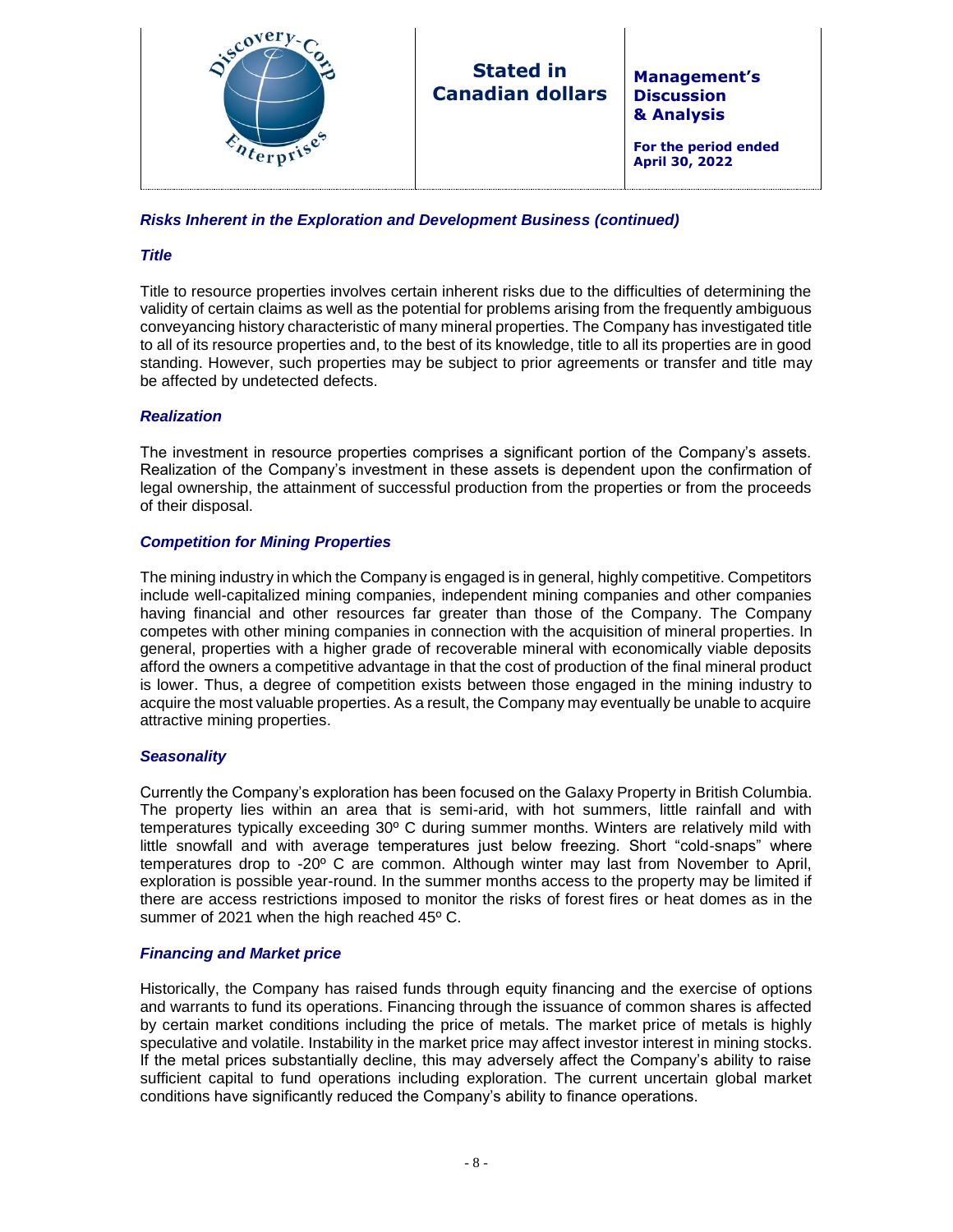

# *Risks Inherent in the Exploration and Development Business (continued)*

## *Title*

Title to resource properties involves certain inherent risks due to the difficulties of determining the validity of certain claims as well as the potential for problems arising from the frequently ambiguous conveyancing history characteristic of many mineral properties. The Company has investigated title to all of its resource properties and, to the best of its knowledge, title to all its properties are in good standing. However, such properties may be subject to prior agreements or transfer and title may be affected by undetected defects.

## *Realization*

The investment in resource properties comprises a significant portion of the Company's assets. Realization of the Company's investment in these assets is dependent upon the confirmation of legal ownership, the attainment of successful production from the properties or from the proceeds of their disposal.

## *Competition for Mining Properties*

The mining industry in which the Company is engaged is in general, highly competitive. Competitors include well-capitalized mining companies, independent mining companies and other companies having financial and other resources far greater than those of the Company. The Company competes with other mining companies in connection with the acquisition of mineral properties. In general, properties with a higher grade of recoverable mineral with economically viable deposits afford the owners a competitive advantage in that the cost of production of the final mineral product is lower. Thus, a degree of competition exists between those engaged in the mining industry to acquire the most valuable properties. As a result, the Company may eventually be unable to acquire attractive mining properties.

#### *Seasonality*

Currently the Company's exploration has been focused on the Galaxy Property in British Columbia. The property lies within an area that is semi-arid, with hot summers, little rainfall and with temperatures typically exceeding 30º C during summer months. Winters are relatively mild with little snowfall and with average temperatures just below freezing. Short "cold-snaps" where temperatures drop to -20º C are common. Although winter may last from November to April, exploration is possible year-round. In the summer months access to the property may be limited if there are access restrictions imposed to monitor the risks of forest fires or heat domes as in the summer of 2021 when the high reached 45° C.

#### *Financing and Market price*

Historically, the Company has raised funds through equity financing and the exercise of options and warrants to fund its operations. Financing through the issuance of common shares is affected by certain market conditions including the price of metals. The market price of metals is highly speculative and volatile. Instability in the market price may affect investor interest in mining stocks. If the metal prices substantially decline, this may adversely affect the Company's ability to raise sufficient capital to fund operations including exploration. The current uncertain global market conditions have significantly reduced the Company's ability to finance operations.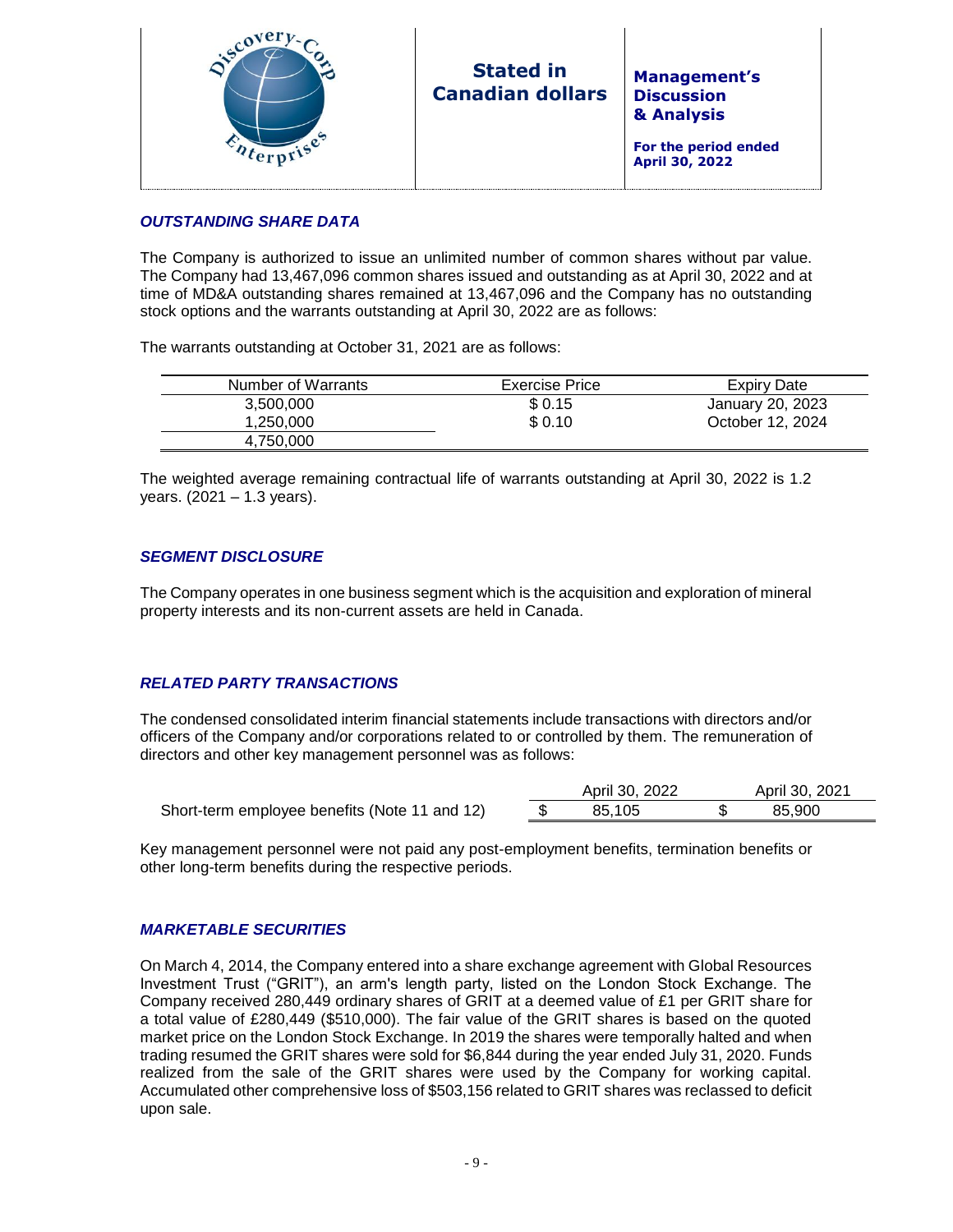

**For the period ended April 30, 2022**

# *OUTSTANDING SHARE DATA*

The Company is authorized to issue an unlimited number of common shares without par value. The Company had 13,467,096 common shares issued and outstanding as at April 30, 2022 and at time of MD&A outstanding shares remained at 13,467,096 and the Company has no outstanding stock options and the warrants outstanding at April 30, 2022 are as follows:

The warrants outstanding at October 31, 2021 are as follows:

| Number of Warrants | <b>Exercise Price</b> | Expiry Date      |
|--------------------|-----------------------|------------------|
| 3,500,000          | \$0.15                | January 20, 2023 |
| 1.250.000          | \$0.10                | October 12, 2024 |
| 4.750.000          |                       |                  |

The weighted average remaining contractual life of warrants outstanding at April 30, 2022 is 1.2 years. (2021 – 1.3 years).

# *SEGMENT DISCLOSURE*

The Company operates in one business segment which is the acquisition and exploration of mineral property interests and its non-current assets are held in Canada.

# *RELATED PARTY TRANSACTIONS*

The condensed consolidated interim financial statements include transactions with directors and/or officers of the Company and/or corporations related to or controlled by them. The remuneration of directors and other key management personnel was as follows:

|                                               | April 30, 2022 | April 30, 2021 |  |
|-----------------------------------------------|----------------|----------------|--|
| Short-term employee benefits (Note 11 and 12) | 85.105         | 85.900         |  |
|                                               |                |                |  |

Key management personnel were not paid any post-employment benefits, termination benefits or other long-term benefits during the respective periods.

#### *MARKETABLE SECURITIES*

On March 4, 2014, the Company entered into a share exchange agreement with Global Resources Investment Trust ("GRIT"), an arm's length party, listed on the London Stock Exchange. The Company received 280,449 ordinary shares of GRIT at a deemed value of £1 per GRIT share for a total value of £280,449 (\$510,000). The fair value of the GRIT shares is based on the quoted market price on the London Stock Exchange. In 2019 the shares were temporally halted and when trading resumed the GRIT shares were sold for \$6,844 during the year ended July 31, 2020. Funds realized from the sale of the GRIT shares were used by the Company for working capital. Accumulated other comprehensive loss of \$503,156 related to GRIT shares was reclassed to deficit upon sale.